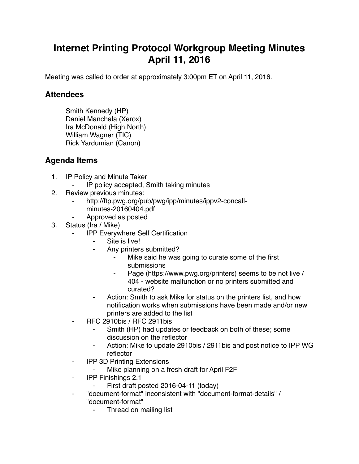## **Internet Printing Protocol Workgroup Meeting Minutes April 11, 2016**

Meeting was called to order at approximately 3:00pm ET on April 11, 2016.

## **Attendees**

Smith Kennedy (HP) Daniel Manchala (Xerox) Ira McDonald (High North) William Wagner (TIC) Rick Yardumian (Canon)

## **Agenda Items**

- 1. IP Policy and Minute Taker
	- IP policy accepted, Smith taking minutes
- 2. Review previous minutes:
	- http://ftp.pwg.org/pub/pwg/ipp/minutes/ippv2-concallminutes-20160404.pdf
	- ⁃ Approved as posted
- 3. Status (Ira / Mike)
	- **IPP Everywhere Self Certification** 
		- Site is live!
		- ⁃ Any printers submitted?
			- Mike said he was going to curate some of the first submissions
			- ⁃ Page (https://www.pwg.org/printers) seems to be not live / 404 - website malfunction or no printers submitted and curated?
		- ⁃ Action: Smith to ask Mike for status on the printers list, and how notification works when submissions have been made and/or new printers are added to the list
	- ⁃ RFC 2910bis / RFC 2911bis
		- Smith (HP) had updates or feedback on both of these; some discussion on the reflector
		- Action: Mike to update 2910bis / 2911bis and post notice to IPP WG reflector
	- ⁃ IPP 3D Printing Extensions
		- ⁃ Mike planning on a fresh draft for April F2F
	- ⁃ IPP Finishings 2.1
		- First draft posted 2016-04-11 (today)
	- ⁃ "document-format" inconsistent with "document-format-details" / "document-format"
		- ⁃ Thread on mailing list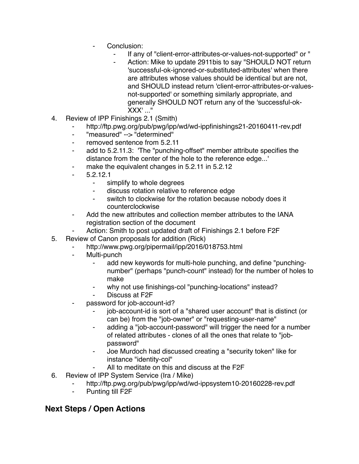- Conclusion:
	- If any of "client-error-attributes-or-values-not-supported" or "
	- Action: Mike to update 2911bis to say "SHOULD NOT return 'successful-ok-ignored-or-substituted-attributes' when there are attributes whose values should be identical but are not, and SHOULD instead return 'client-error-attributes-or-valuesnot-supported' or something similarly appropriate, and generally SHOULD NOT return any of the 'successful-ok-XXX' ..."
- 4. Review of IPP Finishings 2.1 (Smith)
	- http://ftp.pwg.org/pub/pwg/ipp/wd/wd-ippfinishings21-20160411-rev.pdf
	- ⁃ "measured" --> "determined"
	- removed sentence from 5.2.11
	- ⁃ add to 5.2.11.3: 'The "punching-offset" member attribute specifies the distance from the center of the hole to the reference edge...'
	- make the equivalent changes in 5.2.11 in 5.2.12
	- ⁃ 5.2.12.1
		- ⁃ simplify to whole degrees
		- discuss rotation relative to reference edge
		- ⁃ switch to clockwise for the rotation because nobody does it counterclockwise
	- Add the new attributes and collection member attributes to the IANA registration section of the document
	- Action: Smith to post updated draft of Finishings 2.1 before F2F
- 5. Review of Canon proposals for addition (Rick)
	- http://www.pwg.org/pipermail/ipp/2016/018753.html
	- ⁃ Multi-punch
		- add new keywords for multi-hole punching, and define "punchingnumber" (perhaps "punch-count" instead) for the number of holes to make
		- why not use finishings-col "punching-locations" instead?
		- Discuss at F<sub>2</sub>F
	- password for job-account-id?
		- ⁃ job-account-id is sort of a "shared user account" that is distinct (or can be) from the "job-owner" or "requesting-user-name"
		- adding a "job-account-password" will trigger the need for a number of related attributes - clones of all the ones that relate to "jobpassword"
		- ⁃ Joe Murdoch had discussed creating a "security token" like for instance "identity-col"
		- All to meditate on this and discuss at the F2F
- 6. Review of IPP System Service (Ira / Mike)
	- http://ftp.pwg.org/pub/pwg/ipp/wd/wd-ippsystem10-20160228-rev.pdf
	- ⁃ Punting till F2F

## **Next Steps / Open Actions**